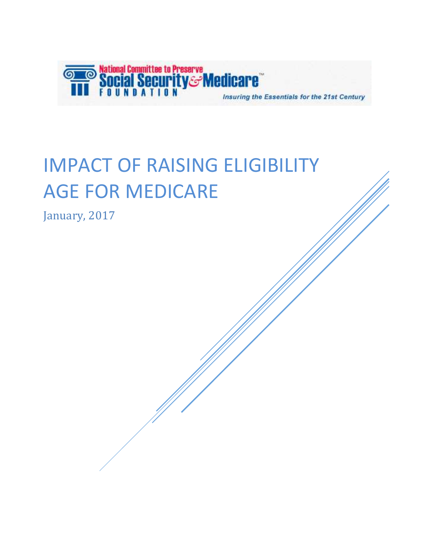

# IMPACT OF RAISING ELIGIBILITY **AGE FOR MEDICARE**

January, 2017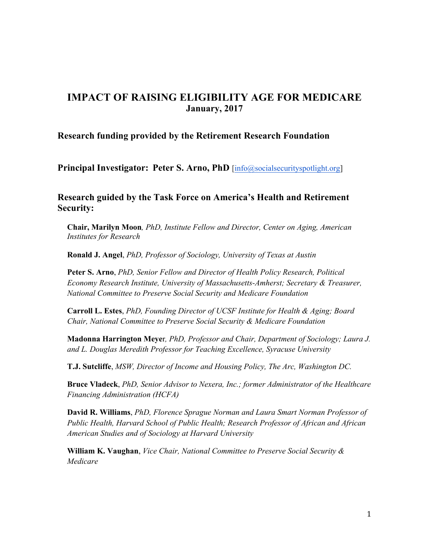#### **IMPACT OF RAISING ELIGIBILITY AGE FOR MEDICARE January, 2017**

#### **Research funding provided by the Retirement Research Foundation**

**Principal Investigator: Peter S. Arno, PhD** [info@socialsecurityspotlight.org]

#### **Research guided by the Task Force on America's Health and Retirement Security:**

**Chair, Marilyn Moon***, PhD, Institute Fellow and Director, Center on Aging, American Institutes for Research* 

**Ronald J. Angel**, *PhD, Professor of Sociology, University of Texas at Austin*

**Peter S. Arno**, *PhD, Senior Fellow and Director of Health Policy Research, Political Economy Research Institute, University of Massachusetts-Amherst; Secretary & Treasurer, National Committee to Preserve Social Security and Medicare Foundation*

**Carroll L. Estes**, *PhD, Founding Director of UCSF Institute for Health & Aging; Board Chair, National Committee to Preserve Social Security & Medicare Foundation*

**Madonna Harrington Meye**r*, PhD, Professor and Chair, Department of Sociology; Laura J. and L. Douglas Meredith Professor for Teaching Excellence, Syracuse University*

**T.J. Sutcliffe**, *MSW, Director of Income and Housing Policy, The Arc, Washington DC.* 

**Bruce Vladeck**, *PhD, Senior Advisor to Nexera, Inc.; former Administrator of the Healthcare Financing Administration (HCFA)*

**David R. Williams**, *PhD, Florence Sprague Norman and Laura Smart Norman Professor of Public Health, Harvard School of Public Health; Research Professor of African and African American Studies and of Sociology at Harvard University*

**William K. Vaughan**, *Vice Chair, National Committee to Preserve Social Security & Medicare*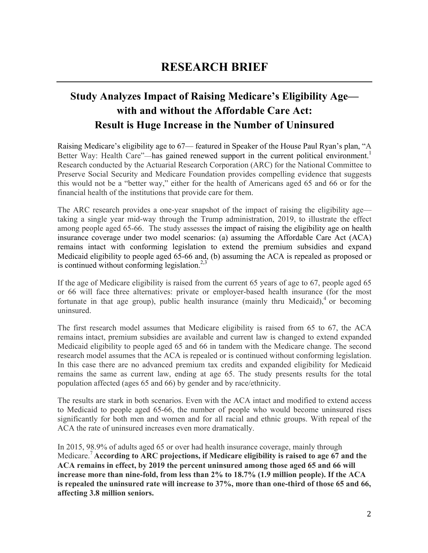### **Study Analyzes Impact of Raising Medicare's Eligibility Age with and without the Affordable Care Act: Result is Huge Increase in the Number of Uninsured**

Raising Medicare's eligibility age to 67— featured in Speaker of the House Paul Ryan's plan, "A Better Way: Health Care"—has gained renewed support in the current political environment.<sup>1</sup> Research conducted by the Actuarial Research Corporation (ARC) for the National Committee to Preserve Social Security and Medicare Foundation provides compelling evidence that suggests this would not be a "better way," either for the health of Americans aged 65 and 66 or for the financial health of the institutions that provide care for them.

The ARC research provides a one-year snapshot of the impact of raising the eligibility age taking a single year mid-way through the Trump administration, 2019, to illustrate the effect among people aged 65-66. The study assesses the impact of raising the eligibility age on health insurance coverage under two model scenarios: (a) assuming the Affordable Care Act (ACA) remains intact with conforming legislation to extend the premium subsidies and expand Medicaid eligibility to people aged 65-66 and, (b) assuming the ACA is repealed as proposed or is continued without conforming legislation. $2,3$ 

If the age of Medicare eligibility is raised from the current 65 years of age to 67, people aged 65 or 66 will face three alternatives: private or employer-based health insurance (for the most fortunate in that age group), public health insurance (mainly thru Medicaid),  $\alpha$  or becoming uninsured.

The first research model assumes that Medicare eligibility is raised from 65 to 67, the ACA remains intact, premium subsidies are available and current law is changed to extend expanded Medicaid eligibility to people aged 65 and 66 in tandem with the Medicare change. The second research model assumes that the ACA is repealed or is continued without conforming legislation. In this case there are no advanced premium tax credits and expanded eligibility for Medicaid remains the same as current law, ending at age 65. The study presents results for the total population affected (ages 65 and 66) by gender and by race/ethnicity.

The results are stark in both scenarios. Even with the ACA intact and modified to extend access to Medicaid to people aged 65-66, the number of people who would become uninsured rises significantly for both men and women and for all racial and ethnic groups. With repeal of the ACA the rate of uninsured increases even more dramatically.

In 2015, 98.9% of adults aged 65 or over had health insurance coverage, mainly through Medicare.<sup>7</sup>**According to ARC projections, if Medicare eligibility is raised to age 67 and the ACA remains in effect, by 2019 the percent uninsured among those aged 65 and 66 will increase more than nine-fold, from less than 2% to 18.7% (1.9 million people). If the ACA is repealed the uninsured rate will increase to 37%, more than one-third of those 65 and 66, affecting 3.8 million seniors.**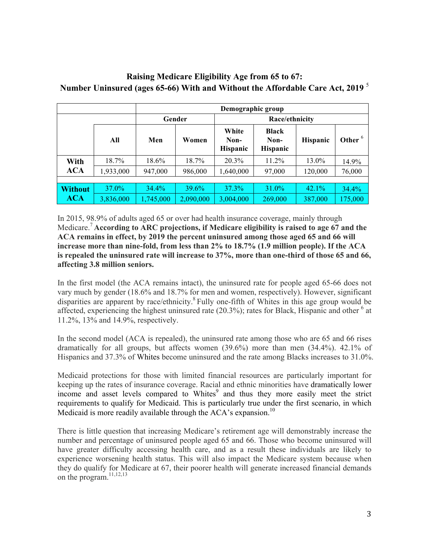|                |           | Demographic group |           |                                  |                                  |                 |           |
|----------------|-----------|-------------------|-----------|----------------------------------|----------------------------------|-----------------|-----------|
|                |           | Gender            |           | Race/ethnicity                   |                                  |                 |           |
|                | All       | Men               | Women     | White<br>Non-<br><b>Hispanic</b> | Black<br>Non-<br><b>Hispanic</b> | <b>Hispanic</b> | Other $6$ |
| With           | 18.7%     | 18.6%             | 18.7%     | 20.3%                            | $11.2\%$                         | 13.0%           | 14.9%     |
| <b>ACA</b>     | 1,933,000 | 947,000           | 986,000   | 1,640,000                        | 97,000                           | 120,000         | 76,000    |
|                |           |                   |           |                                  |                                  |                 |           |
| <b>Without</b> | 37.0%     | 34.4%             | 39.6%     | 37.3%                            | 31.0%                            | 42.1%           | $34.4\%$  |
| <b>ACA</b>     | 3,836,000 | ,745,000          | 2,090,000 | 3,004,000                        | 269,000                          | 387,000         | 175,000   |

#### **Raising Medicare Eligibility Age from 65 to 67: Number Uninsured (ages 65-66) With and Without the Affordable Care Act, 2019** <sup>5</sup>

In 2015, 98.9% of adults aged 65 or over had health insurance coverage, mainly through Medicare.<sup>7</sup>**According to ARC projections, if Medicare eligibility is raised to age 67 and the ACA remains in effect, by 2019 the percent uninsured among those aged 65 and 66 will increase more than nine-fold, from less than 2% to 18.7% (1.9 million people). If the ACA is repealed the uninsured rate will increase to 37%, more than one-third of those 65 and 66, affecting 3.8 million seniors.**

In the first model (the ACA remains intact), the uninsured rate for people aged 65-66 does not vary much by gender (18.6% and 18.7% for men and women, respectively). However, significant disparities are apparent by race/ethnicity.<sup>8</sup> Fully one-fifth of Whites in this age group would be affected, experiencing the highest uninsured rate  $(20.3\%)$ ; rates for Black, Hispanic and other  $<sup>6</sup>$  at</sup> 11.2%, 13% and 14.9%, respectively.

In the second model (ACA is repealed), the uninsured rate among those who are 65 and 66 rises dramatically for all groups, but affects women (39.6%) more than men (34.4%). 42.1% of Hispanics and 37.3% of Whites become uninsured and the rate among Blacks increases to 31.0%.

Medicaid protections for those with limited financial resources are particularly important for keeping up the rates of insurance coverage. Racial and ethnic minorities have dramatically lower income and asset levels compared to Whites<sup>9</sup> and thus they more easily meet the strict requirements to qualify for Medicaid. This is particularly true under the first scenario, in which Medicaid is more readily available through the  $ACA$ 's expansion.<sup>10</sup>

There is little question that increasing Medicare's retirement age will demonstrably increase the number and percentage of uninsured people aged 65 and 66. Those who become uninsured will have greater difficulty accessing health care, and as a result these individuals are likely to experience worsening health status. This will also impact the Medicare system because when they do qualify for Medicare at 67, their poorer health will generate increased financial demands on the program.<sup>11,12,13</sup>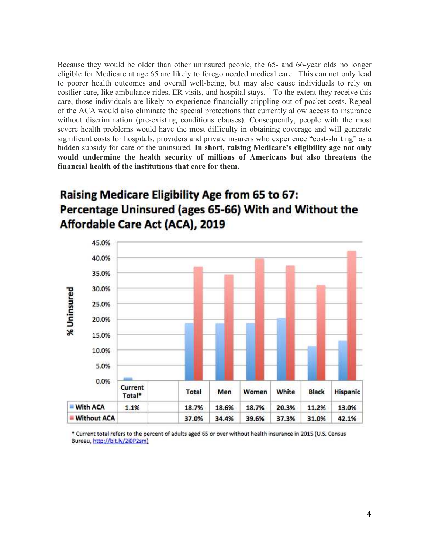Because they would be older than other uninsured people, the 65- and 66-year olds no longer eligible for Medicare at age 65 are likely to forego needed medical care. This can not only lead to poorer health outcomes and overall well-being, but may also cause individuals to rely on costlier care, like ambulance rides, ER visits, and hospital stays.<sup>14</sup> To the extent they receive this care, those individuals are likely to experience financially crippling out-of-pocket costs. Repeal of the ACA would also eliminate the special protections that currently allow access to insurance without discrimination (pre-existing conditions clauses). Consequently, people with the most severe health problems would have the most difficulty in obtaining coverage and will generate significant costs for hospitals, providers and private insurers who experience "cost-shifting" as a hidden subsidy for care of the uninsured. **In short, raising Medicare's eligibility age not only would undermine the health security of millions of Americans but also threatens the financial health of the institutions that care for them.**

## Raising Medicare Eligibility Age from 65 to 67: Percentage Uninsured (ages 65-66) With and Without the Affordable Care Act (ACA), 2019



\* Current total refers to the percent of adults aged 65 or over without health insurance in 2015 (U.S. Census Bureau, http://bit.ly/2i0P2sm)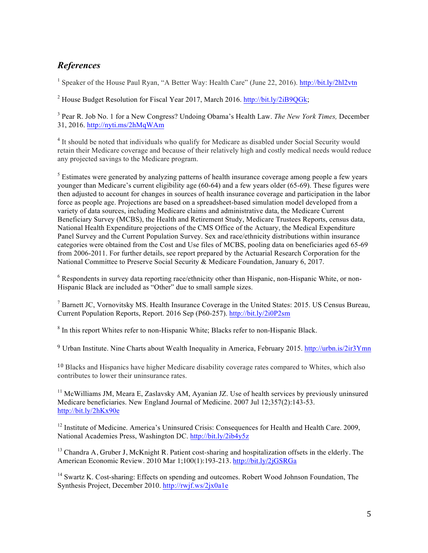#### *References*

<sup>1</sup> Speaker of the House Paul Ryan, "A Better Way: Health Care" (June 22, 2016). http://bit.ly/2hl2vtn

<sup>2</sup> House Budget Resolution for Fiscal Year 2017, March 2016. http://bit.ly/2iB9QGk;

3 Pear R. Job No. 1 for a New Congress? Undoing Obama's Health Law. *The New York Times,* December 31, 2016. http://nyti.ms/2hMqWAm

<sup>4</sup> It should be noted that individuals who qualify for Medicare as disabled under Social Security would retain their Medicare coverage and because of their relatively high and costly medical needs would reduce any projected savings to the Medicare program.

<sup>5</sup> Estimates were generated by analyzing patterns of health insurance coverage among people a few years younger than Medicare's current eligibility age (60-64) and a few years older (65-69). These figures were then adjusted to account for changes in sources of health insurance coverage and participation in the labor force as people age. Projections are based on a spreadsheet-based simulation model developed from a variety of data sources, including Medicare claims and administrative data, the Medicare Current Beneficiary Survey (MCBS), the Health and Retirement Study, Medicare Trustees Reports, census data, National Health Expenditure projections of the CMS Office of the Actuary, the Medical Expenditure Panel Survey and the Current Population Survey. Sex and race/ethnicity distributions within insurance categories were obtained from the Cost and Use files of MCBS, pooling data on beneficiaries aged 65-69 from 2006-2011. For further details, see report prepared by the Actuarial Research Corporation for the National Committee to Preserve Social Security & Medicare Foundation, January 6, 2017.

<sup>6</sup> Respondents in survey data reporting race/ethnicity other than Hispanic, non-Hispanic White, or non-Hispanic Black are included as "Other" due to small sample sizes.

<sup>7</sup> Barnett JC, Vornovitsky MS. Health Insurance Coverage in the United States: 2015. US Census Bureau, Current Population Reports, Report. 2016 Sep (P60-257). http://bit.ly/2i0P2sm

<sup>8</sup> In this report Whites refer to non-Hispanic White; Blacks refer to non-Hispanic Black.

<sup>9</sup> Urban Institute. Nine Charts about Wealth Inequality in America, February 2015. http://urbn.is/2ir3Ymn

<sup>10</sup> Blacks and Hispanics have higher Medicare disability coverage rates compared to Whites, which also contributes to lower their uninsurance rates.

 $11$  McWilliams JM, Meara E, Zaslavsky AM, Ayanian JZ. Use of health services by previously uninsured Medicare beneficiaries. New England Journal of Medicine. 2007 Jul 12;357(2):143-53. http://bit.ly/2hKx90e

 $12$  Institute of Medicine. America's Uninsured Crisis: Consequences for Health and Health Care. 2009, National Academies Press, Washington DC. http://bit.ly/2ib4y5z

<sup>13</sup> Chandra A, Gruber J, McKnight R. Patient cost-sharing and hospitalization offsets in the elderly. The American Economic Review. 2010 Mar 1;100(1):193-213. http://bit.ly/2jGSRGa

<sup>14</sup> Swartz K. Cost-sharing: Effects on spending and outcomes. Robert Wood Johnson Foundation, The Synthesis Project, December 2010. http://rwjf.ws/2jx0a1e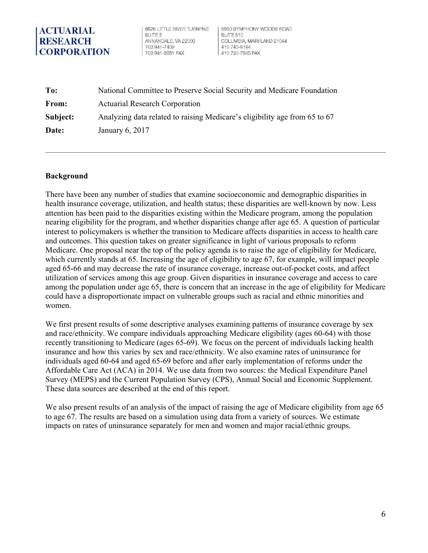6928 LITTLE RIVER TURNPIKE **SUITE F** ANNANDALE, VA 22003 703 941-7400 703 941-3951 FAX

5950 SYMPHONY WOODS ROAD SUITE 510 COLUMBIA, MARYLAND 21044 410 740-9194 410 730-7945 FAX

**To: From: Subject: Date:**  National Committee to Preserve Social Security and Medicare Foundation Actuarial Research Corporation Analyzing data related to raising Medicare's eligibility age from 65 to 67 January 6, 2017

#### **Background**

There have been any number of studies that examine socioeconomic and demographic disparities in health insurance coverage, utilization, and health status; these disparities are well-known by now. Less attention has been paid to the disparities existing within the Medicare program, among the population nearing eligibility for the program, and whether disparities change after age 65. A question of particular interest to policymakers is whether the transition to Medicare affects disparities in access to health care and outcomes. This question takes on greater significance in light of various proposals to reform Medicare. One proposal near the top of the policy agenda is to raise the age of eligibility for Medicare, which currently stands at 65. Increasing the age of eligibility to age 67, for example, will impact people aged 65-66 and may decrease the rate of insurance coverage, increase out-of-pocket costs, and affect utilization of services among this age group. Given disparities in insurance coverage and access to care among the population under age 65, there is concern that an increase in the age of eligibility for Medicare could have a disproportionate impact on vulnerable groups such as racial and ethnic minorities and women.

We first present results of some descriptive analyses examining patterns of insurance coverage by sex and race/ethnicity. We compare individuals approaching Medicare eligibility (ages 60-64) with those recently transitioning to Medicare (ages 65-69). We focus on the percent of individuals lacking health insurance and how this varies by sex and race/ethnicity. We also examine rates of uninsurance for individuals aged 60-64 and aged 65-69 before and after early implementation of reforms under the Affordable Care Act (ACA) in 2014. We use data from two sources: the Medical Expenditure Panel Survey (MEPS) and the Current Population Survey (CPS), Annual Social and Economic Supplement. These data sources are described at the end of this report.

We also present results of an analysis of the impact of raising the age of Medicare eligibility from age 65 to age 67. The results are based on a simulation using data from a variety of sources. We estimate impacts on rates of uninsurance separately for men and women and major racial/ethnic groups.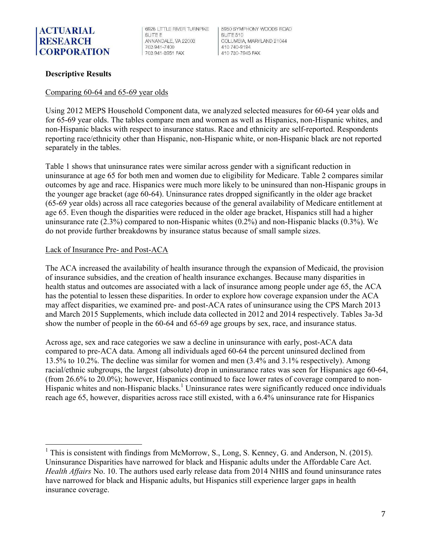6928 LITTLE RIVER TURNPIKE **SUITE F** ANNANDALE, VA 22003 703 941-7400 703 941-3951 FAX

5950 SYMPHONY WOODS ROAD SUITE 510 COLUMBIA, MARYLAND 21044 410 740-9194 410 730-7945 FAX

#### **Descriptive Results**

#### Comparing 60-64 and 65-69 year olds

Using 2012 MEPS Household Component data, we analyzed selected measures for 60-64 year olds and for 65-69 year olds. The tables compare men and women as well as Hispanics, non-Hispanic whites, and non-Hispanic blacks with respect to insurance status. Race and ethnicity are self-reported. Respondents reporting race/ethnicity other than Hispanic, non-Hispanic white, or non-Hispanic black are not reported separately in the tables.

Table 1 shows that uninsurance rates were similar across gender with a significant reduction in uninsurance at age 65 for both men and women due to eligibility for Medicare. Table 2 compares similar outcomes by age and race. Hispanics were much more likely to be uninsured than non-Hispanic groups in the younger age bracket (age 60-64). Uninsurance rates dropped significantly in the older age bracket (65-69 year olds) across all race categories because of the general availability of Medicare entitlement at age 65. Even though the disparities were reduced in the older age bracket, Hispanics still had a higher uninsurance rate  $(2.3\%)$  compared to non-Hispanic whites  $(0.2\%)$  and non-Hispanic blacks  $(0.3\%)$ . We do not provide further breakdowns by insurance status because of small sample sizes.

#### Lack of Insurance Pre- and Post-ACA

 

The ACA increased the availability of health insurance through the expansion of Medicaid, the provision of insurance subsidies, and the creation of health insurance exchanges. Because many disparities in health status and outcomes are associated with a lack of insurance among people under age 65, the ACA has the potential to lessen these disparities. In order to explore how coverage expansion under the ACA may affect disparities, we examined pre- and post-ACA rates of uninsurance using the CPS March 2013 and March 2015 Supplements, which include data collected in 2012 and 2014 respectively. Tables 3a-3d show the number of people in the 60-64 and 65-69 age groups by sex, race, and insurance status.

Across age, sex and race categories we saw a decline in uninsurance with early, post-ACA data compared to pre-ACA data. Among all individuals aged 60-64 the percent uninsured declined from 13.5% to 10.2%. The decline was similar for women and men (3.4% and 3.1% respectively). Among racial/ethnic subgroups, the largest (absolute) drop in uninsurance rates was seen for Hispanics age 60-64, (from 26.6% to 20.0%); however, Hispanics continued to face lower rates of coverage compared to non-Hispanic whites and non-Hispanic blacks.<sup>1</sup> Uninsurance rates were significantly reduced once individuals reach age 65, however, disparities across race still existed, with a 6.4% uninsurance rate for Hispanics

 $<sup>1</sup>$  This is consistent with findings from McMorrow, S., Long, S. Kenney, G. and Anderson, N. (2015).</sup> Uninsurance Disparities have narrowed for black and Hispanic adults under the Affordable Care Act. *Health Affairs* No. 10. The authors used early release data from 2014 NHIS and found uninsurance rates have narrowed for black and Hispanic adults, but Hispanics still experience larger gaps in health insurance coverage.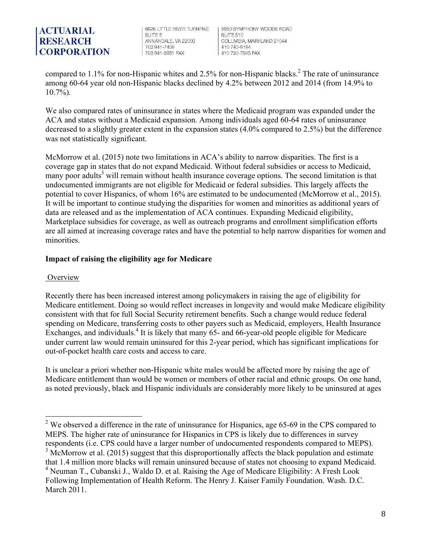6928 LITTLE RIVER TURNPIKE **SUITE F** ANNANDALE, VA 22003 703 941-7400 703 941-3951 FAX

5950 SYMPHONY WOODS BOAD SUITE 510 COLUMBIA, MARYLAND 21044 410 740-9194 410 730-7945 FAX

compared to  $1.1\%$  for non-Hispanic whites and  $2.5\%$  for non-Hispanic blacks.<sup>2</sup> The rate of uninsurance among 60-64 year old non-Hispanic blacks declined by 4.2% between 2012 and 2014 (from 14.9% to 10.7%).

We also compared rates of uninsurance in states where the Medicaid program was expanded under the ACA and states without a Medicaid expansion. Among individuals aged 60-64 rates of uninsurance decreased to a slightly greater extent in the expansion states (4.0% compared to 2.5%) but the difference was not statistically significant.

McMorrow et al. (2015) note two limitations in ACA's ability to narrow disparities. The first is a coverage gap in states that do not expand Medicaid. Without federal subsidies or access to Medicaid, many poor adults<sup>3</sup> will remain without health insurance coverage options. The second limitation is that undocumented immigrants are not eligible for Medicaid or federal subsidies. This largely affects the potential to cover Hispanics, of whom 16% are estimated to be undocumented (McMorrow et al., 2015). It will be important to continue studying the disparities for women and minorities as additional years of data are released and as the implementation of ACA continues. Expanding Medicaid eligibility, Marketplace subsidies for coverage, as well as outreach programs and enrollment simplification efforts are all aimed at increasing coverage rates and have the potential to help narrow disparities for women and minorities.

#### **Impact of raising the eligibility age for Medicare**

#### **Overview**

Recently there has been increased interest among policymakers in raising the age of eligibility for Medicare entitlement. Doing so would reflect increases in longevity and would make Medicare eligibility consistent with that for full Social Security retirement benefits. Such a change would reduce federal spending on Medicare, transferring costs to other payers such as Medicaid, employers, Health Insurance Exchanges, and individuals.<sup>4</sup> It is likely that many 65- and 66-year-old people eligible for Medicare under current law would remain uninsured for this 2-year period, which has significant implications for out-of-pocket health care costs and access to care.

It is unclear a priori whether non-Hispanic white males would be affected more by raising the age of Medicare entitlement than would be women or members of other racial and ethnic groups. On one hand, as noted previously, black and Hispanic individuals are considerably more likely to be uninsured at ages

<sup>&</sup>lt;sup>2</sup> We observed a difference in the rate of uninsurance for Hispanics, age 65-69 in the CPS compared to MEPS. The higher rate of uninsurance for Hispanics in CPS is likely due to differences in survey respondents (i.e. CPS could have a larger number of undocumented respondents compared to MEPS). <sup>3</sup> McMorrow et al. (2015) suggest that this disproportionally affects the black population and estimate that 1.4 million more blacks will remain uninsured because of states not choosing to expand Medicaid. <sup>4</sup> Neuman T., Cubanski J., Waldo D. et al. Raising the Age of Medicare Eligibility: A Fresh Look Following Implementation of Health Reform. The Henry J. Kaiser Family Foundation. Wash. D.C. March 2011.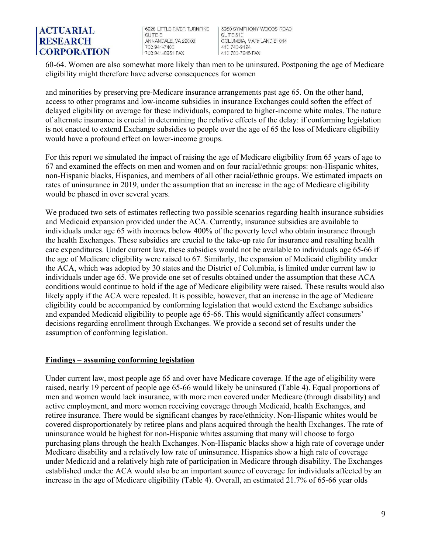6928 LITTLE RIVER TURNPIKE **SUITE F** ANNANDALE, VA 22003 703 941-7400 703 941-3951 FAX

5950 SYMPHONY WOODS ROAD SUITE 510 COLUMBIA, MARYLAND 21044 410 740-9194 410 730-7945 FAX

60-64. Women are also somewhat more likely than men to be uninsured. Postponing the age of Medicare eligibility might therefore have adverse consequences for women

and minorities by preserving pre-Medicare insurance arrangements past age 65. On the other hand, access to other programs and low-income subsidies in insurance Exchanges could soften the effect of delayed eligibility on average for these individuals, compared to higher-income white males. The nature of alternate insurance is crucial in determining the relative effects of the delay: if conforming legislation is not enacted to extend Exchange subsidies to people over the age of 65 the loss of Medicare eligibility would have a profound effect on lower-income groups.

For this report we simulated the impact of raising the age of Medicare eligibility from 65 years of age to 67 and examined the effects on men and women and on four racial/ethnic groups: non-Hispanic whites, non-Hispanic blacks, Hispanics, and members of all other racial/ethnic groups. We estimated impacts on rates of uninsurance in 2019, under the assumption that an increase in the age of Medicare eligibility would be phased in over several years.

We produced two sets of estimates reflecting two possible scenarios regarding health insurance subsidies and Medicaid expansion provided under the ACA. Currently, insurance subsidies are available to individuals under age 65 with incomes below 400% of the poverty level who obtain insurance through the health Exchanges. These subsidies are crucial to the take-up rate for insurance and resulting health care expenditures. Under current law, these subsidies would not be available to individuals age 65-66 if the age of Medicare eligibility were raised to 67. Similarly, the expansion of Medicaid eligibility under the ACA, which was adopted by 30 states and the District of Columbia, is limited under current law to individuals under age 65. We provide one set of results obtained under the assumption that these ACA conditions would continue to hold if the age of Medicare eligibility were raised. These results would also likely apply if the ACA were repealed. It is possible, however, that an increase in the age of Medicare eligibility could be accompanied by conforming legislation that would extend the Exchange subsidies and expanded Medicaid eligibility to people age 65-66. This would significantly affect consumers' decisions regarding enrollment through Exchanges. We provide a second set of results under the assumption of conforming legislation.

#### **Findings – assuming conforming legislation**

Under current law, most people age 65 and over have Medicare coverage. If the age of eligibility were raised, nearly 19 percent of people age 65-66 would likely be uninsured (Table 4). Equal proportions of men and women would lack insurance, with more men covered under Medicare (through disability) and active employment, and more women receiving coverage through Medicaid, health Exchanges, and retiree insurance. There would be significant changes by race/ethnicity. Non-Hispanic whites would be covered disproportionately by retiree plans and plans acquired through the health Exchanges. The rate of uninsurance would be highest for non-Hispanic whites assuming that many will choose to forgo purchasing plans through the health Exchanges. Non-Hispanic blacks show a high rate of coverage under Medicare disability and a relatively low rate of uninsurance. Hispanics show a high rate of coverage under Medicaid and a relatively high rate of participation in Medicare through disability. The Exchanges established under the ACA would also be an important source of coverage for individuals affected by an increase in the age of Medicare eligibility (Table 4). Overall, an estimated 21.7% of 65-66 year olds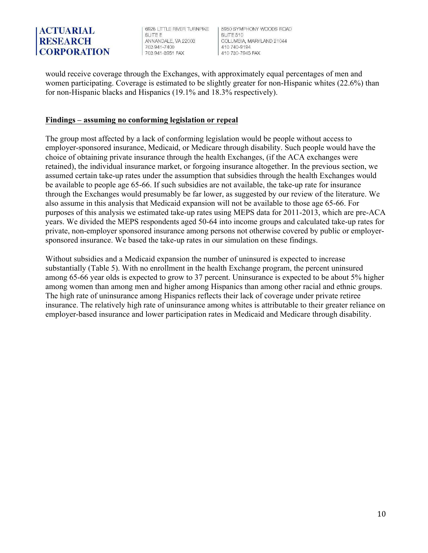6928 LITTLE RIVER TURNPIKE **SUITE F** ANNANDALE, VA 22003 703 941-7400 703 941-3951 FAX

5950 SYMPHONY WOODS BOAD SUITE 510 COLUMBIA, MARYLAND 21044 410 740-9194 410 730-7945 FAX

would receive coverage through the Exchanges, with approximately equal percentages of men and women participating. Coverage is estimated to be slightly greater for non-Hispanic whites (22.6%) than for non-Hispanic blacks and Hispanics (19.1% and 18.3% respectively).

#### **Findings – assuming no conforming legislation or repeal**

The group most affected by a lack of conforming legislation would be people without access to employer-sponsored insurance, Medicaid, or Medicare through disability. Such people would have the choice of obtaining private insurance through the health Exchanges, (if the ACA exchanges were retained), the individual insurance market, or forgoing insurance altogether. In the previous section, we assumed certain take-up rates under the assumption that subsidies through the health Exchanges would be available to people age 65-66. If such subsidies are not available, the take-up rate for insurance through the Exchanges would presumably be far lower, as suggested by our review of the literature. We also assume in this analysis that Medicaid expansion will not be available to those age 65-66. For purposes of this analysis we estimated take-up rates using MEPS data for 2011-2013, which are pre-ACA years. We divided the MEPS respondents aged 50-64 into income groups and calculated take-up rates for private, non-employer sponsored insurance among persons not otherwise covered by public or employersponsored insurance. We based the take-up rates in our simulation on these findings.

Without subsidies and a Medicaid expansion the number of uninsured is expected to increase substantially (Table 5). With no enrollment in the health Exchange program, the percent uninsured among 65-66 year olds is expected to grow to 37 percent. Uninsurance is expected to be about 5% higher among women than among men and higher among Hispanics than among other racial and ethnic groups. The high rate of uninsurance among Hispanics reflects their lack of coverage under private retiree insurance. The relatively high rate of uninsurance among whites is attributable to their greater reliance on employer-based insurance and lower participation rates in Medicaid and Medicare through disability.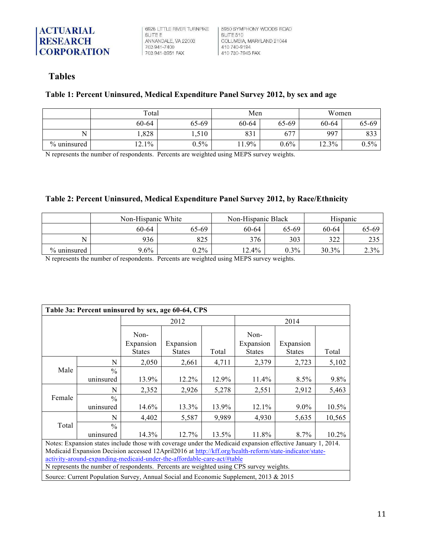6928 LITTLE RIVER TURNPIKE SUITE E ANNANDALE, VA 22003 703 941-7400 703 941-3951 FAX

| 5950 SYMPHONY WOODS ROAD SUITE 510 COLUMBIA, MARYLAND 21044 410 740-9194 410 730-7945 FAX

#### **Tables**

#### **Table 1: Percent Uninsured, Medical Expenditure Panel Survey 2012, by sex and age**

|             | Total   | Men     |         | Women |       |         |
|-------------|---------|---------|---------|-------|-------|---------|
|             | 60-64   | 65-69   | 60-64   | 65-69 | 60-64 | 65-69   |
|             | .,828   | 1,510   | 831     | 677   | 997   | 833     |
| % uninsured | $2.1\%$ | $0.5\%$ | $1.9\%$ | 0.6%  | 12.3% | $0.5\%$ |

N represents the number of respondents. Percents are weighted using MEPS survey weights.

#### **Table 2: Percent Uninsured, Medical Expenditure Panel Survey 2012, by Race/Ethnicity**

|             | Non-Hispanic White |         | Non-Hispanic Black |         | Hispanic |       |
|-------------|--------------------|---------|--------------------|---------|----------|-------|
|             | 60-64              | 65-69   | 60-64              | 65-69   | 60-64    | 65-69 |
|             | 936                | 825     | 376                | 303     | 322      | 235   |
| % uninsured | $9.6\%$            | $0.2\%$ | $12.4\%$           | $0.3\%$ | $30.3\%$ | 2.3%  |

N represents the number of respondents. Percents are weighted using MEPS survey weights.

| Table 3a: Percent uninsured by sex, age 60-64, CPS                                                                                                                                                                                                                                                                                                                                           |                                                                                       |                                    |                            |       |                                    |                            |        |  |  |
|----------------------------------------------------------------------------------------------------------------------------------------------------------------------------------------------------------------------------------------------------------------------------------------------------------------------------------------------------------------------------------------------|---------------------------------------------------------------------------------------|------------------------------------|----------------------------|-------|------------------------------------|----------------------------|--------|--|--|
|                                                                                                                                                                                                                                                                                                                                                                                              |                                                                                       |                                    | 2012                       |       | 2014                               |                            |        |  |  |
|                                                                                                                                                                                                                                                                                                                                                                                              |                                                                                       | Non-<br>Expansion<br><b>States</b> | Expansion<br><b>States</b> | Total | Non-<br>Expansion<br><b>States</b> | Expansion<br><b>States</b> | Total  |  |  |
|                                                                                                                                                                                                                                                                                                                                                                                              | N                                                                                     | 2,050                              | 2,661                      | 4,711 | 2,379                              | 2,723                      | 5,102  |  |  |
| Male                                                                                                                                                                                                                                                                                                                                                                                         | $\frac{0}{0}$<br>uninsured                                                            | 13.9%                              | 12.2%                      | 12.9% | $11.4\%$                           | $8.5\%$                    | 9.8%   |  |  |
|                                                                                                                                                                                                                                                                                                                                                                                              | N                                                                                     | 2,352                              | 2,926                      | 5,278 | 2,551                              | 2,912                      | 5,463  |  |  |
| Female                                                                                                                                                                                                                                                                                                                                                                                       | $\frac{0}{0}$<br>uninsured                                                            | 14.6%                              | 13.3%                      | 13.9% | $12.1\%$                           | $9.0\%$                    | 10.5%  |  |  |
|                                                                                                                                                                                                                                                                                                                                                                                              | N                                                                                     | 4,402                              | 5,587                      | 9,989 | 4,930                              | 5,635                      | 10,565 |  |  |
| Total                                                                                                                                                                                                                                                                                                                                                                                        | $\frac{0}{0}$                                                                         |                                    |                            |       |                                    |                            |        |  |  |
|                                                                                                                                                                                                                                                                                                                                                                                              | uninsured                                                                             | 14.3%                              | 12.7%                      | 13.5% | 11.8%                              | 8.7%                       | 10.2%  |  |  |
| Notes: Expansion states include those with coverage under the Medicaid expansion effective January 1, 2014.<br>Medicaid Expansion Decision accessed 12April2016 at http://kff.org/health-reform/state-indicator/state-<br>activity-around-expanding-medicaid-under-the-affordable-care-act/#table<br>N represents the number of respondents. Percents are weighted using CPS survey weights. |                                                                                       |                                    |                            |       |                                    |                            |        |  |  |
|                                                                                                                                                                                                                                                                                                                                                                                              | Source: Current Population Survey, Annual Social and Economic Supplement, 2013 & 2015 |                                    |                            |       |                                    |                            |        |  |  |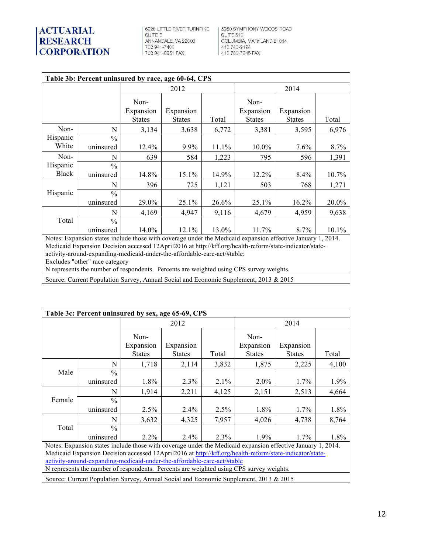6928 LITTLE RIVER TURNPIKE SUITE E ANNANDALE, VA 22003<br>703 941-7400<br>703 941-3951 FAX

| 5950 SYMPHONY WOODS ROAD **SUITE 510** COLUMBIA, MARYLAND 21044 410 740-9194 410 730-7945 FAX

| Table 3b: Percent uninsured by race, age 60-64, CPS |                                                                                                             |                                    |                            |       |                                    |                            |       |  |  |
|-----------------------------------------------------|-------------------------------------------------------------------------------------------------------------|------------------------------------|----------------------------|-------|------------------------------------|----------------------------|-------|--|--|
|                                                     |                                                                                                             |                                    | 2012                       |       | 2014                               |                            |       |  |  |
|                                                     |                                                                                                             | Non-<br>Expansion<br><b>States</b> | Expansion<br><b>States</b> | Total | Non-<br>Expansion<br><b>States</b> | Expansion<br><b>States</b> | Total |  |  |
| Non-                                                | N                                                                                                           | 3,134                              | 3,638                      | 6,772 | 3,381                              | 3,595                      | 6,976 |  |  |
| Hispanic<br>White                                   | $\frac{0}{0}$<br>uninsured                                                                                  | 12.4%                              | 9.9%                       | 11.1% | $10.0\%$                           | 7.6%                       | 8.7%  |  |  |
| Non-                                                | N                                                                                                           | 639                                | 584                        | 1,223 | 795                                | 596                        | 1,391 |  |  |
| Hispanic<br><b>Black</b>                            | $\frac{0}{0}$<br>uninsured                                                                                  | 14.8%                              | 15.1%                      | 14.9% | 12.2%                              | 8.4%                       | 10.7% |  |  |
|                                                     | N                                                                                                           | 396                                | 725                        | 1,121 | 503                                | 768                        | 1,271 |  |  |
| Hispanic                                            | $\frac{0}{0}$<br>uninsured                                                                                  | 29.0%                              | 25.1%                      | 26.6% | 25.1%                              | 16.2%                      | 20.0% |  |  |
|                                                     | N                                                                                                           | 4,169                              | 4,947                      | 9,116 | 4,679                              | 4,959                      | 9,638 |  |  |
| Total                                               | $\frac{0}{0}$<br>uninsured                                                                                  | 14.0%                              | 12.1%                      | 13.0% | 11.7%                              | 8.7%                       | 10.1% |  |  |
|                                                     | Notes: Expansion states include those with coverage under the Medicaid expansion effective January 1, 2014. |                                    |                            |       |                                    |                            |       |  |  |
|                                                     | Medicaid Expansion Decision accessed 12April2016 at http://kff.org/health-reform/state-indicator/state-     |                                    |                            |       |                                    |                            |       |  |  |
|                                                     | activity-around-expanding-medicaid-under-the-affordable-care-act/#table;<br>Excludes "other" race category  |                                    |                            |       |                                    |                            |       |  |  |
|                                                     | N represents the number of respondents. Percents are weighted using CPS survey weights.                     |                                    |                            |       |                                    |                            |       |  |  |
|                                                     |                                                                                                             |                                    |                            |       |                                    |                            |       |  |  |

Source: Current Population Survey, Annual Social and Economic Supplement, 2013 & 2015

| Table 3c: Percent uninsured by sex, age 65-69, CPS                                                                                                                                                                                                                                                                                                                                           |                                                                                       |                                    |                            |       |                                    |                            |       |  |  |  |
|----------------------------------------------------------------------------------------------------------------------------------------------------------------------------------------------------------------------------------------------------------------------------------------------------------------------------------------------------------------------------------------------|---------------------------------------------------------------------------------------|------------------------------------|----------------------------|-------|------------------------------------|----------------------------|-------|--|--|--|
|                                                                                                                                                                                                                                                                                                                                                                                              |                                                                                       |                                    | 2012                       |       | 2014                               |                            |       |  |  |  |
|                                                                                                                                                                                                                                                                                                                                                                                              |                                                                                       | Non-<br>Expansion<br><b>States</b> | Expansion<br><b>States</b> | Total | Non-<br>Expansion<br><b>States</b> | Expansion<br><b>States</b> | Total |  |  |  |
|                                                                                                                                                                                                                                                                                                                                                                                              | N                                                                                     | 1,718                              | 2,114                      | 3,832 | 1,875                              | 2,225                      | 4,100 |  |  |  |
| Male                                                                                                                                                                                                                                                                                                                                                                                         | $\frac{0}{0}$<br>uninsured                                                            | 1.8%                               | 2.3%                       | 2.1%  | $2.0\%$                            | 1.7%                       | 1.9%  |  |  |  |
|                                                                                                                                                                                                                                                                                                                                                                                              | N                                                                                     | 1,914                              | 2,211                      | 4,125 | 2,151                              | 2,513                      | 4,664 |  |  |  |
| Female                                                                                                                                                                                                                                                                                                                                                                                       | $\frac{0}{0}$<br>uninsured                                                            | 2.5%                               | 2.4%                       | 2.5%  | 1.8%                               | 1.7%                       | 1.8%  |  |  |  |
|                                                                                                                                                                                                                                                                                                                                                                                              | N                                                                                     | 3,632                              | 4,325                      | 7,957 | 4,026                              | 4,738                      | 8,764 |  |  |  |
| Total                                                                                                                                                                                                                                                                                                                                                                                        | $\frac{0}{0}$                                                                         |                                    |                            |       |                                    |                            |       |  |  |  |
|                                                                                                                                                                                                                                                                                                                                                                                              | uninsured                                                                             | $2.2\%$                            | 2.4%                       | 2.3%  | $1.9\%$                            | $1.7\%$                    | 1.8%  |  |  |  |
| Notes: Expansion states include those with coverage under the Medicaid expansion effective January 1, 2014.<br>Medicaid Expansion Decision accessed 12April2016 at http://kff.org/health-reform/state-indicator/state-<br>activity-around-expanding-medicaid-under-the-affordable-care-act/#table<br>N represents the number of respondents. Percents are weighted using CPS survey weights. |                                                                                       |                                    |                            |       |                                    |                            |       |  |  |  |
|                                                                                                                                                                                                                                                                                                                                                                                              | Source: Current Population Survey, Annual Social and Economic Supplement, 2013 & 2015 |                                    |                            |       |                                    |                            |       |  |  |  |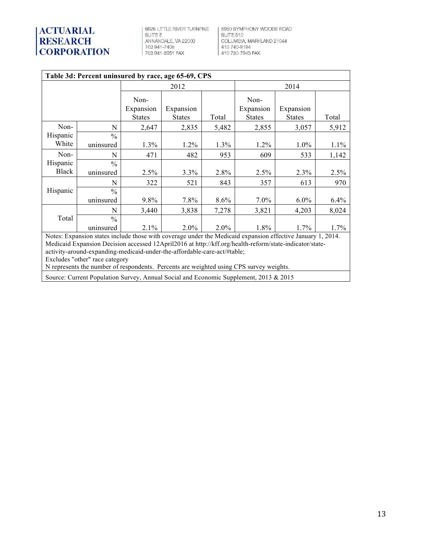# **ACTUARIAL<br>RESEARCH<br>CORPORATION**

 $6928$  LITTLE RIVER TURNPIKE SUITE E ANNANDALE, VA 22003<br>703 941-7400<br>703 941-3951 FAX

| 5950 SYMPHONY WOODS ROAD **SUITE 510** COLUMBIA, MARYLAND 21044<br>410 740-9194<br>410 730-7945 FAX

| Table 3d: Percent uninsured by race, age 65-69, CPS                                                                                                                                                                                                                                                              |                                                                                                             |                                    |                            |       |                                    |                            |         |  |  |  |
|------------------------------------------------------------------------------------------------------------------------------------------------------------------------------------------------------------------------------------------------------------------------------------------------------------------|-------------------------------------------------------------------------------------------------------------|------------------------------------|----------------------------|-------|------------------------------------|----------------------------|---------|--|--|--|
|                                                                                                                                                                                                                                                                                                                  |                                                                                                             |                                    | 2012                       |       | 2014                               |                            |         |  |  |  |
|                                                                                                                                                                                                                                                                                                                  |                                                                                                             | Non-<br>Expansion<br><b>States</b> | Expansion<br><b>States</b> | Total | Non-<br>Expansion<br><b>States</b> | Expansion<br><b>States</b> | Total   |  |  |  |
| Non-                                                                                                                                                                                                                                                                                                             | N                                                                                                           | 2,647                              | 2,835                      | 5,482 | 2,855                              | 3,057                      | 5,912   |  |  |  |
| Hispanic<br>White                                                                                                                                                                                                                                                                                                | $\frac{0}{0}$<br>uninsured                                                                                  | $1.3\%$                            | $1.2\%$                    | 1.3%  | $1.2\%$                            | $1.0\%$                    | 1.1%    |  |  |  |
| Non-                                                                                                                                                                                                                                                                                                             | N                                                                                                           | 471                                | 482                        | 953   | 609                                | 533                        | 1,142   |  |  |  |
| Hispanic<br><b>Black</b>                                                                                                                                                                                                                                                                                         | $\frac{0}{0}$<br>uninsured                                                                                  | 2.5%                               | 3.3%                       | 2.8%  | 2.5%                               | 2.3%                       | 2.5%    |  |  |  |
|                                                                                                                                                                                                                                                                                                                  | N                                                                                                           | 322                                | 521                        | 843   | 357                                | 613                        | 970     |  |  |  |
| Hispanic                                                                                                                                                                                                                                                                                                         | $\frac{0}{0}$<br>uninsured                                                                                  | 9.8%                               | 7.8%                       | 8.6%  | $7.0\%$                            | $6.0\%$                    | $6.4\%$ |  |  |  |
|                                                                                                                                                                                                                                                                                                                  | N                                                                                                           | 3,440                              | 3,838                      | 7,278 | 3,821                              | 4,203                      | 8,024   |  |  |  |
| Total                                                                                                                                                                                                                                                                                                            | $\frac{0}{0}$<br>uninsured                                                                                  | 2.1%                               | 2.0%                       | 2.0%  | 1.8%                               | 1.7%                       | 1.7%    |  |  |  |
|                                                                                                                                                                                                                                                                                                                  | Notes: Expansion states include those with coverage under the Medicaid expansion effective January 1, 2014. |                                    |                            |       |                                    |                            |         |  |  |  |
| Medicaid Expansion Decision accessed 12April2016 at http://kff.org/health-reform/state-indicator/state-<br>activity-around-expanding-medicaid-under-the-affordable-care-act/#table;<br>Excludes "other" race category<br>N represents the number of respondents. Percents are weighted using CPS survey weights. |                                                                                                             |                                    |                            |       |                                    |                            |         |  |  |  |
|                                                                                                                                                                                                                                                                                                                  | Source: Current Population Survey, Annual Social and Economic Supplement, 2013 & 2015                       |                                    |                            |       |                                    |                            |         |  |  |  |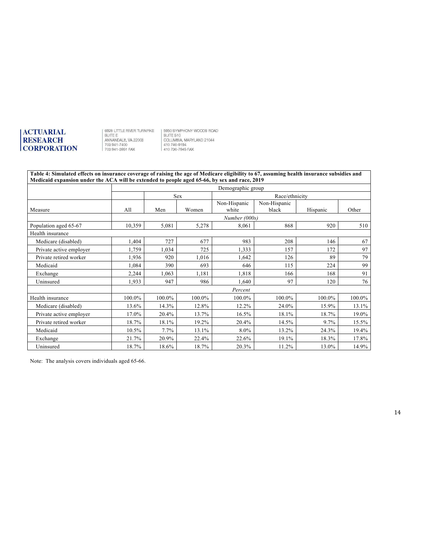8928 LITTLE RIVER TURNPIKE<br>SUITE E<br>ANNANDALE, VA 22003<br>703 941-7400<br>703 941-3951 FAX

5950 SYMPHONY WOODS ROAD<br>SUITE 510<br>COLUMBIA, MARYLAND 21044<br>410 740-9194<br>10 730-7945 FAX

#### **Table 4: Simulated effects on insurance coverage of raising the age of Medicare eligibility to 67, assuming health insurance subsidies and Medicaid expansion under the ACA will be extended to people aged 65-66, by sex and race, 2019**

|                         |        | Demographic group |            |                       |                       |          |        |  |
|-------------------------|--------|-------------------|------------|-----------------------|-----------------------|----------|--------|--|
|                         |        |                   | <b>Sex</b> | Race/ethnicity        |                       |          |        |  |
| Measure                 | All    | Men               | Women      | Non-Hispanic<br>white | Non-Hispanic<br>black | Hispanic | Other  |  |
|                         |        |                   |            | Number (000s)         |                       |          |        |  |
| Population aged 65-67   | 10,359 | 5,081             | 5,278      | 8,061                 | 868                   | 920      | 510    |  |
| Health insurance        |        |                   |            |                       |                       |          |        |  |
| Medicare (disabled)     | 1,404  | 727               | 677        | 983                   | 208                   | 146      | 67     |  |
| Private active employer | 1,759  | 1,034             | 725        | 1,333                 | 157                   | 172      | 97     |  |
| Private retired worker  | 1,936  | 920               | 1,016      | 1,642                 | 126                   | 89       | 79     |  |
| Medicaid                | 1,084  | 390               | 693        | 646                   | 115                   | 224      | 99     |  |
| Exchange                | 2,244  | 1,063             | 1,181      | 1,818                 | 166                   | 168      | 91     |  |
| Uninsured               | 1,933  | 947               | 986        | 1,640                 | 97                    | 120      | 76     |  |
|                         |        |                   |            | Percent               |                       |          |        |  |
| Health insurance        | 100.0% | 100.0%            | 100.0%     | 100.0%                | 100.0%                | 100.0%   | 100.0% |  |
| Medicare (disabled)     | 13.6%  | 14.3%             | 12.8%      | 12.2%                 | 24.0%                 | 15.9%    | 13.1%  |  |
| Private active employer | 17.0%  | 20.4%             | 13.7%      | 16.5%                 | 18.1%                 | 18.7%    | 19.0%  |  |
| Private retired worker  | 18.7%  | 18.1%             | 19.2%      | 20.4%                 | 14.5%                 | $9.7\%$  | 15.5%  |  |
| Medicaid                | 10.5%  | 7.7%              | 13.1%      | 8.0%                  | 13.2%                 | 24.3%    | 19.4%  |  |
| Exchange                | 21.7%  | 20.9%             | 22.4%      | 22.6%                 | 19.1%                 | 18.3%    | 17.8%  |  |
| Uninsured               | 18.7%  | 18.6%             | 18.7%      | 20.3%                 | 11.2%                 | 13.0%    | 14.9%  |  |

Note: The analysis covers individuals aged 65-66.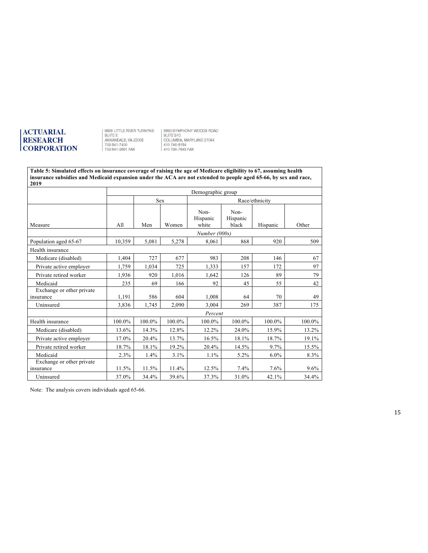8928 LITTLE RIVER TURNPIKE<br>SUITE E<br>ANNANDALE, VA 22003<br>703 941-7400<br>703 941-3951 FAX

5950 SYMPHONY WOODS ROAD<br>SUITE 510<br>COLUMBIA, MARYLAND 21044<br>410 740-9194<br>410 730-7945 FAX

#### **Table 5: Simulated effects on insurance coverage of raising the age of Medicare eligibility to 67, assuming health insurance subsidies and Medicaid expansion under the ACA are not extended to people aged 65-66, by sex and race, 2019**

|                                        | Demographic group |            |        |                           |                           |          |        |
|----------------------------------------|-------------------|------------|--------|---------------------------|---------------------------|----------|--------|
|                                        |                   | <b>Sex</b> |        |                           |                           |          |        |
| Measure                                | All               | Men        | Women  | Non-<br>Hispanic<br>white | Non-<br>Hispanic<br>black | Hispanic | Other  |
|                                        |                   |            |        | Number (000s)             |                           |          |        |
| Population aged 65-67                  | 10,359            | 5,081      | 5,278  | 8,061                     | 868                       | 920      | 509    |
| Health insurance                       |                   |            |        |                           |                           |          |        |
| Medicare (disabled)                    | 1,404             | 727        | 677    | 983                       | 208                       | 146      | 67     |
| Private active employer                | 1,759             | 1,034      | 725    | 1,333                     | 157                       | 172      | 97     |
| Private retired worker                 | 1,936             | 920        | 1.016  | 1,642                     | 126                       | 89       | 79     |
| Medicaid                               | 235               | 69         | 166    | 92                        | 45                        | 55       | 42     |
| Exchange or other private<br>insurance | 1,191             | 586        | 604    | 1,008                     | 64                        | 70       | 49     |
| Uninsured                              | 3,836             | 1,745      | 2,090  | 3.004                     | 269                       | 387      | 175    |
|                                        |                   |            |        | Percent                   |                           |          |        |
| Health insurance                       | 100.0%            | 100.0%     | 100.0% | 100.0%                    | 100.0%                    | 100.0%   | 100.0% |
| Medicare (disabled)                    | 13.6%             | 14.3%      | 12.8%  | 12.2%                     | 24.0%                     | 15.9%    | 13.2%  |
| Private active employer                | 17.0%             | 20.4%      | 13.7%  | 16.5%                     | 18.1%                     | 18.7%    | 19.1%  |
| Private retired worker                 | 18.7%             | 18.1%      | 19.2%  | 20.4%                     | 14.5%                     | $9.7\%$  | 15.5%  |
| Medicaid                               | 2.3%              | 1.4%       | 3.1%   | 1.1%                      | 5.2%                      | $6.0\%$  | 8.3%   |
| Exchange or other private              |                   |            |        |                           |                           |          |        |
| insurance                              | 11.5%             | 11.5%      | 11.4%  | 12.5%                     | 7.4%                      | 7.6%     | 9.6%   |
| Uninsured                              | 37.0%             | 34.4%      | 39.6%  | 37.3%                     | 31.0%                     | 42.1%    | 34.4%  |

Note: The analysis covers individuals aged 65-66.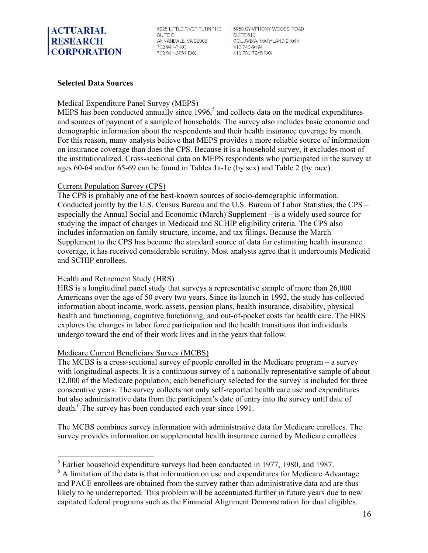6928 LITTLE RIVER TURNPIKE **SUITE F** ANNANDALE, VA 22003 703 941-7400 703 941-3951 FAX

5950 SYMPHONY WOODS BOAD SUITE 510 COLUMBIA, MARYLAND 21044 410 740-9194 410 730-7945 FAX

#### **Selected Data Sources**

#### Medical Expenditure Panel Survey (MEPS)

MEPS has been conducted annually since  $1996$ ,<sup>5</sup> and collects data on the medical expenditures and sources of payment of a sample of households. The survey also includes basic economic and demographic information about the respondents and their health insurance coverage by month. For this reason, many analysts believe that MEPS provides a more reliable source of information on insurance coverage than does the CPS. Because it is a household survey, it excludes most of the institutionalized. Cross-sectional data on MEPS respondents who participated in the survey at ages 60-64 and/or 65-69 can be found in Tables 1a-1e (by sex) and Table 2 (by race).

#### Current Population Survey (CPS)

The CPS is probably one of the best-known sources of socio-demographic information. Conducted jointly by the U.S. Census Bureau and the U.S. Bureau of Labor Statistics, the CPS – especially the Annual Social and Economic (March) Supplement – is a widely used source for studying the impact of changes in Medicaid and SCHIP eligibility criteria. The CPS also includes information on family structure, income, and tax filings. Because the March Supplement to the CPS has become the standard source of data for estimating health insurance coverage, it has received considerable scrutiny. Most analysts agree that it undercounts Medicaid and SCHIP enrollees.

#### Health and Retirement Study (HRS)

<u> 1989 - Johann Barn, mars ann an t-A</u>

HRS is a longitudinal panel study that surveys a representative sample of more than 26,000 Americans over the age of 50 every two years. Since its launch in 1992, the study has collected information about income, work, assets, pension plans, health insurance, disability, physical health and functioning, cognitive functioning, and out-of-pocket costs for health care. The HRS explores the changes in labor force participation and the health transitions that individuals undergo toward the end of their work lives and in the years that follow.

#### Medicare Current Beneficiary Survey (MCBS)

The MCBS is a cross-sectional survey of people enrolled in the Medicare program – a survey with longitudinal aspects. It is a continuous survey of a nationally representative sample of about 12,000 of the Medicare population; each beneficiary selected for the survey is included for three consecutive years. The survey collects not only self-reported health care use and expenditures but also administrative data from the participant's date of entry into the survey until date of death.<sup>6</sup> The survey has been conducted each year since 1991.

The MCBS combines survey information with administrative data for Medicare enrollees. The survey provides information on supplemental health insurance carried by Medicare enrollees

<sup>&</sup>lt;sup>5</sup> Earlier household expenditure surveys had been conducted in 1977, 1980, and 1987.

<sup>&</sup>lt;sup>6</sup> A limitation of the data is that information on use and expenditures for Medicare Advantage and PACE enrollees are obtained from the survey rather than administrative data and are thus likely to be underreported. This problem will be accentuated further in future years due to new capitated federal programs such as the Financial Alignment Demonstration for dual eligibles.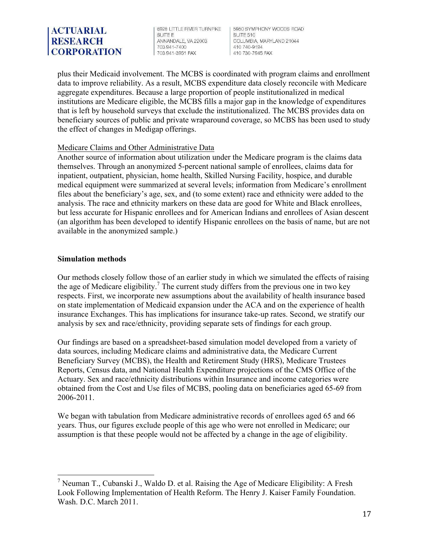6928 LITTLE RIVER TURNPIKE **SUITE F** ANNANDALE, VA 22003 703 941-7400 703 941-3951 FAX

5950 SYMPHONY WOODS ROAD SUITE 510 COLUMBIA, MARYLAND 21044 410 740-9194 410 730-7945 FAX

plus their Medicaid involvement. The MCBS is coordinated with program claims and enrollment data to improve reliability. As a result, MCBS expenditure data closely reconcile with Medicare aggregate expenditures. Because a large proportion of people institutionalized in medical institutions are Medicare eligible, the MCBS fills a major gap in the knowledge of expenditures that is left by household surveys that exclude the institutionalized. The MCBS provides data on beneficiary sources of public and private wraparound coverage, so MCBS has been used to study the effect of changes in Medigap offerings.

#### Medicare Claims and Other Administrative Data

Another source of information about utilization under the Medicare program is the claims data themselves. Through an anonymized 5-percent national sample of enrollees, claims data for inpatient, outpatient, physician, home health, Skilled Nursing Facility, hospice, and durable medical equipment were summarized at several levels; information from Medicare's enrollment files about the beneficiary's age, sex, and (to some extent) race and ethnicity were added to the analysis. The race and ethnicity markers on these data are good for White and Black enrollees, but less accurate for Hispanic enrollees and for American Indians and enrollees of Asian descent (an algorithm has been developed to identify Hispanic enrollees on the basis of name, but are not available in the anonymized sample.)

#### **Simulation methods**

 

Our methods closely follow those of an earlier study in which we simulated the effects of raising the age of Medicare eligibility.<sup>7</sup> The current study differs from the previous one in two key respects. First, we incorporate new assumptions about the availability of health insurance based on state implementation of Medicaid expansion under the ACA and on the experience of health insurance Exchanges. This has implications for insurance take-up rates. Second, we stratify our analysis by sex and race/ethnicity, providing separate sets of findings for each group.

Our findings are based on a spreadsheet-based simulation model developed from a variety of data sources, including Medicare claims and administrative data, the Medicare Current Beneficiary Survey (MCBS), the Health and Retirement Study (HRS), Medicare Trustees Reports, Census data, and National Health Expenditure projections of the CMS Office of the Actuary. Sex and race/ethnicity distributions within Insurance and income categories were obtained from the Cost and Use files of MCBS, pooling data on beneficiaries aged 65-69 from 2006-2011.

We began with tabulation from Medicare administrative records of enrollees aged 65 and 66 years. Thus, our figures exclude people of this age who were not enrolled in Medicare; our assumption is that these people would not be affected by a change in the age of eligibility.

<sup>&</sup>lt;sup>7</sup> Neuman T., Cubanski J., Waldo D. et al. Raising the Age of Medicare Eligibility: A Fresh Look Following Implementation of Health Reform. The Henry J. Kaiser Family Foundation. Wash. D.C. March 2011.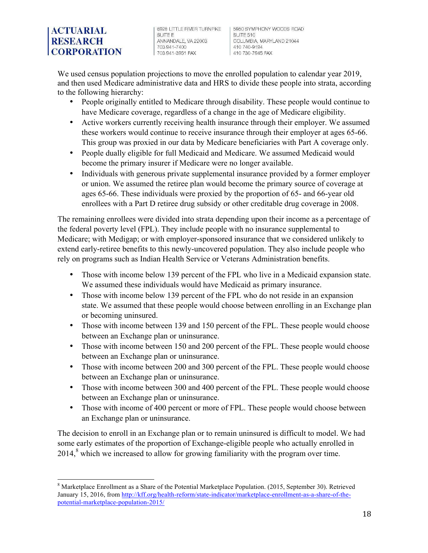6928 LITTLE RIVER TURNPIKE **SUITE F** ANNANDALE, VA 22003 703 941-7400 703 941-3951 FAX

5950 SYMPHONY WOODS ROAD SUITE 510 COLUMBIA, MARYLAND 21044 410 740-9194 410 730-7945 FAX

We used census population projections to move the enrolled population to calendar year 2019, and then used Medicare administrative data and HRS to divide these people into strata, according to the following hierarchy:

- People originally entitled to Medicare through disability. These people would continue to have Medicare coverage, regardless of a change in the age of Medicare eligibility.
- Active workers currently receiving health insurance through their employer. We assumed these workers would continue to receive insurance through their employer at ages 65-66. This group was proxied in our data by Medicare beneficiaries with Part A coverage only.
- People dually eligible for full Medicaid and Medicare. We assumed Medicaid would become the primary insurer if Medicare were no longer available.
- Individuals with generous private supplemental insurance provided by a former employer or union. We assumed the retiree plan would become the primary source of coverage at ages 65-66. These individuals were proxied by the proportion of 65- and 66-year old enrollees with a Part D retiree drug subsidy or other creditable drug coverage in 2008.

The remaining enrollees were divided into strata depending upon their income as a percentage of the federal poverty level (FPL). They include people with no insurance supplemental to Medicare; with Medigap; or with employer-sponsored insurance that we considered unlikely to extend early-retiree benefits to this newly-uncovered population. They also include people who rely on programs such as Indian Health Service or Veterans Administration benefits.

- Those with income below 139 percent of the FPL who live in a Medicaid expansion state. We assumed these individuals would have Medicaid as primary insurance.
- Those with income below 139 percent of the FPL who do not reside in an expansion state. We assumed that these people would choose between enrolling in an Exchange plan or becoming uninsured.
- Those with income between 139 and 150 percent of the FPL. These people would choose between an Exchange plan or uninsurance.
- Those with income between 150 and 200 percent of the FPL. These people would choose between an Exchange plan or uninsurance.
- Those with income between 200 and 300 percent of the FPL. These people would choose between an Exchange plan or uninsurance.
- Those with income between 300 and 400 percent of the FPL. These people would choose between an Exchange plan or uninsurance.
- Those with income of 400 percent or more of FPL. These people would choose between an Exchange plan or uninsurance.

The decision to enroll in an Exchange plan or to remain uninsured is difficult to model. We had some early estimates of the proportion of Exchange-eligible people who actually enrolled in  $2014$ <sup>8</sup>, which we increased to allow for growing familiarity with the program over time.

<u> 1980 - Johann Barnett, fransk politik (</u>

<sup>8</sup> Marketplace Enrollment as a Share of the Potential Marketplace Population. (2015, September 30). Retrieved January 15, 2016, from http://kff.org/health-reform/state-indicator/marketplace-enrollment-as-a-share-of-thepotential-marketplace-population-2015/